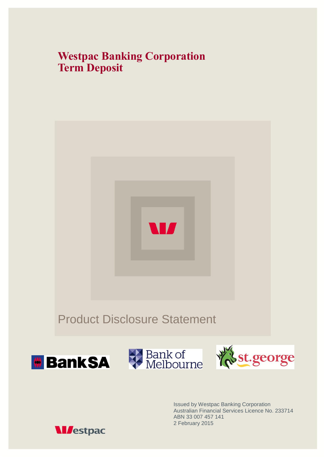## **Westpac Banking Corporation Term Deposit**



Issued by Westpac Banking Corporation Australian Financial Services Licence No. 233714 ABN 33 007 457 141 2 February 2015

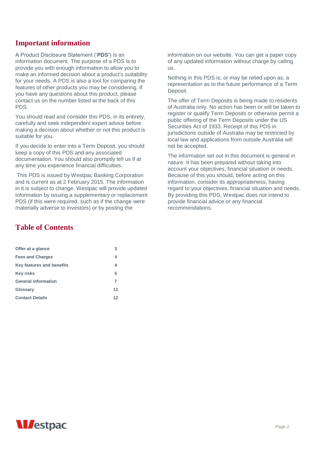## **Important information**

A Product Disclosure Statement ('**PDS'**) is an information document. The purpose of a PDS is to provide you with enough information to allow you to make an informed decision about a product's suitability for your needs. A PDS is also a tool for comparing the features of other products you may be considering. If you have any questions about this product, please contact us on the number listed at the back of this PDS.

You should read and consider this PDS, in its entirety, carefully and seek independent expert advice before making a decision about whether or not this product is suitable for you.

If you decide to enter into a Term Deposit, you should keep a copy of this PDS and any associated documentation. You should also promptly tell us if at any time you experience financial difficulties.

This PDS is issued by Westpac Banking Corporation and is current as at 2 February 2015. The information in it is subject to change. Westpac will provide updated information by issuing a supplementary or replacement PDS (if this were required, such as if the change were materially adverse to investors) or by posting the

information on our website. You can get a paper copy of any updated information without charge by calling us.

Nothing in this PDS is, or may be relied upon as, a representation as to the future performance of a Term Deposit.

The offer of Term Deposits is being made to residents of Australia only. No action has been or will be taken to register or qualify Term Deposits or otherwise permit a public offering of the Term Deposits under the US Securities Act of 1933. Receipt of this PDS in jurisdictions outside of Australia may be restricted by local law and applications from outside Australia will not be accepted.

The information set out in this document is general in nature. It has been prepared without taking into account your objectives, financial situation or needs. Because of this you should, before acting on this information, consider its appropriateness, having regard to your objectives, financial situation and needs. By providing this PDS, Westpac does not intend to provide financial advice or any financial recommendations.

## **Table of Contents**

| Offer at a glance          | 3  |
|----------------------------|----|
| <b>Fees and Charges</b>    | 4  |
| Key features and benefits  | 4  |
| <b>Key risks</b>           | 5  |
| <b>General information</b> | 7  |
| Glossary                   | 11 |
| <b>Contact Details</b>     | 12 |

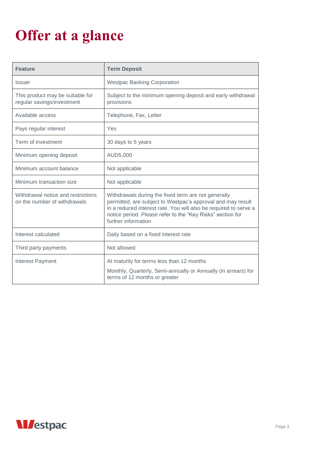# <span id="page-2-0"></span>**Offer at a glance**

| <b>Feature</b>                                                     | <b>Term Deposit</b>                                                                                                                                                                                                                                                         |  |  |
|--------------------------------------------------------------------|-----------------------------------------------------------------------------------------------------------------------------------------------------------------------------------------------------------------------------------------------------------------------------|--|--|
| <b>Issuer</b>                                                      | <b>Westpac Banking Corporation</b>                                                                                                                                                                                                                                          |  |  |
| This product may be suitable for<br>regular savings/investment     | Subject to the minimum opening deposit and early withdrawal<br>provisions                                                                                                                                                                                                   |  |  |
| Available access                                                   | Telephone, Fax, Letter                                                                                                                                                                                                                                                      |  |  |
| Pays regular interest                                              | Yes                                                                                                                                                                                                                                                                         |  |  |
| Term of investment                                                 | 30 days to 5 years                                                                                                                                                                                                                                                          |  |  |
| Minimum opening deposit                                            | AUD5,000                                                                                                                                                                                                                                                                    |  |  |
| Minimum account balance                                            | Not applicable                                                                                                                                                                                                                                                              |  |  |
| Minimum transaction size                                           | Not applicable                                                                                                                                                                                                                                                              |  |  |
| Withdrawal notice and restrictions<br>on the number of withdrawals | Withdrawals during the fixed term are not generally<br>permitted, are subject to Westpac's approval and may result<br>in a reduced interest rate. You will also be required to serve a<br>notice period. Please refer to the "Key Risks" section for<br>further information |  |  |
| Interest calculated                                                | Daily based on a fixed interest rate                                                                                                                                                                                                                                        |  |  |
| Third party payments                                               | Not allowed                                                                                                                                                                                                                                                                 |  |  |
| Interest Payment                                                   | At maturity for terms less than 12 months<br>Monthly, Quarterly, Semi-annually or Annually (in arrears) for<br>terms of 12 months or greater                                                                                                                                |  |  |

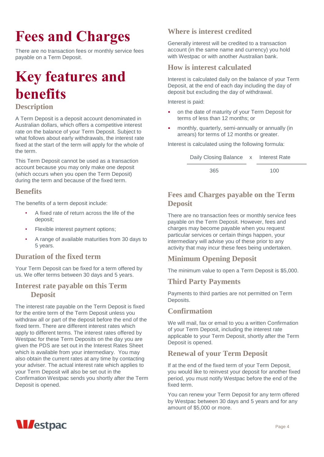# <span id="page-3-0"></span>**Fees and Charges**

<span id="page-3-1"></span>There are no transaction fees or monthly service fees payable on a Term Deposit.

## **Key features and benefits**

## <span id="page-3-2"></span>**Description**

A Term Deposit is a deposit account denominated in Australian dollars, which offers a competitive interest rate on the balance of your Term Deposit. Subject to what follows about early withdrawals, the interest rate fixed at the start of the term will apply for the whole of the term.

This Term Deposit cannot be used as a transaction account because you may only make one deposit (which occurs when you open the Term Deposit) during the term and because of the fixed term.

## **Benefits**

The benefits of a term deposit include:

- A fixed rate of return across the life of the deposit;
- Flexible interest payment options;
- A range of available maturities from 30 days to 5 years.

## **Duration of the fixed term**

Your Term Deposit can be fixed for a term offered by us. We offer terms between 30 days and 5 years.

## **Interest rate payable on this Term Deposit**

The interest rate payable on the Term Deposit is fixed for the entire term of the Term Deposit unless you withdraw all or part of the deposit before the end of the fixed term. There are different interest rates which apply to different terms. The interest rates offered by Westpac for these Term Deposits on the day you are given the PDS are set out in the Interest Rates Sheet which is available from your intermediary. You may also obtain the current rates at any time by contacting your adviser. The actual interest rate which applies to your Term Deposit will also be set out in the Confirmation Westpac sends you shortly after the Term Deposit is opened.

## **Where is interest credited**

Generally interest will be credited to a transaction account (in the same name and currency) you hold with Westpac or with another Australian bank.

## **How is interest calculated**

Interest is calculated daily on the balance of your Term Deposit, at the end of each day including the day of deposit but excluding the day of withdrawal.

Interest is paid:

- on the date of maturity of your Term Deposit for terms of less than 12 months; or
- monthly, quarterly, semi-annually or annually (in arrears) for terms of 12 months or greater.

Interest is calculated using the following formula:

| Daily Closing Balance x Interest Rate |     |
|---------------------------------------|-----|
| 365                                   | 100 |

## **Fees and Charges payable on the Term Deposit**

There are no transaction fees or monthly service fees payable on the Term Deposit. However, fees and charges may become payable when you request particular services or certain things happen, your intermediary will advise you of these prior to any activity that may incur these fees being undertaken.

## **Minimum Opening Deposit**

The minimum value to open a Term Deposit is \$5,000.

## **Third Party Payments**

Payments to third parties are not permitted on Term Deposits.

## **Confirmation**

We will mail, fax or email to you a written Confirmation of your Term Deposit, including the interest rate applicable to your Term Deposit, shortly after the Term Deposit is opened.

## **Renewal of your Term Deposit**

If at the end of the fixed term of your Term Deposit, you would like to reinvest your deposit for another fixed period, you must notify Westpac before the end of the fixed term.

You can renew your Term Deposit for any term offered by Westpac between 30 days and 5 years and for any amount of \$5,000 or more.

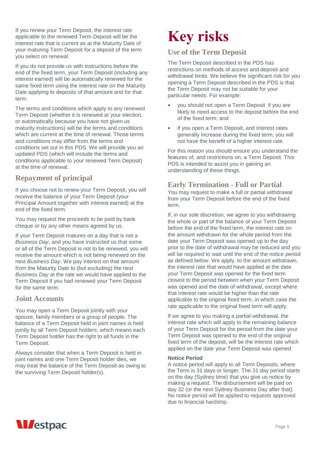If you renew your Term Deposit, the interest rate applicable to the renewed Term Deposit will be the interest rate that is current as at the Maturity Date of your maturing Term Deposit for a deposit of the term you select on renewal.

If you do not provide us with instructions before the end of the fixed term, your Term Deposit (including any interest earned) will be automatically renewed for the same fixed term using the interest rate on the Maturity Date applying to deposits of that amount and for that term.

The terms and conditions which apply to any renewed Term Deposit (whether it is renewed at your election, or automatically because you have not given us maturity instructions) will be the terms and conditions which are current at the time of renewal. Those terms and conditions may differ from the terms and conditions set out in this PDS. We will provide you an updated PDS (which will include the terms and conditions applicable to your renewed Term Deposit) at the time of renewal.

## **Repayment of principal**

If you choose not to renew your Term Deposit, you will receive the balance of your Term Deposit (your Principal Amount together with interest earned) at the end of the fixed term.

You may request the proceeds to be paid by bank cheque or by any other means agreed by us.

If your Term Deposit matures on a day that is not a *Business Day*, and you have instructed us that some or all of the Term Deposit is not to be renewed, you will receive the amount which is not being renewed on the next *Business Day*. We pay interest on that amount from the Maturity Date to (but excluding) the next *Business Day* at the rate we would have applied to the Term Deposit if you had renewed your Term Deposit for the same term.

## **Joint Accounts**

You may open a Term Deposit jointly with your spouse, family members or a group of people. The balance of a Term Deposit held in joint names is held jointly by all Term Deposit holders, which means each Term Deposit holder has the right to all funds in the Term Deposit.

Always consider that when a Term Deposit is held in joint names and one Term Deposit holder dies, we may treat the balance of the Term Deposit as owing to the surviving Term Deposit holder(s).

## **Key risks**

## **Use of the Term Deposit**

The Term Deposit described in the PDS has restrictions on methods of access and deposit and withdrawal limits. We believe the significant risk for you opening a Term Deposit described in the PDS is that the Term Deposit may not be suitable for your particular needs. For example:

- you should not open a Term Deposit if you are likely to need access to the deposit before the end of the fixed term; and
- if you open a Term Deposit, and interest rates generally increase during the fixed term, you will not have the benefit of a higher interest rate.

For this reason you should ensure you understand the features of, and restrictions on, a Term Deposit. This PDS is intended to assist you in gaining an understanding of these things.

## **Early Termination - Full or Partial**

You may request to make a full or partial withdrawal from your Term Deposit before the end of the fixed term.

If, in our sole discretion, we agree to you withdrawing the whole or part of the balance of your Term Deposit before the end of the fixed term, the interest rate on the amount withdrawn for the whole period from the date your Term Deposit was opened up to the day prior to the date of withdrawal may be reduced and you will be required to wait until the end of the notice period as defined below. We apply, to the amount withdrawn, the interest rate that would have applied at the date your Term Deposit was opened for the fixed term closest to the period between when your Term Deposit was opened and the date of withdrawal, except where that interest rate would be higher than the rate applicable to the original fixed term, in which case the rate applicable to the original fixed term will apply.

If we agree to you making a partial withdrawal, the interest rate which will apply to the remaining balance of your Term Deposit for the period from the date your Term Deposit was opened to the end of the original fixed term of the deposit, will be the interest rate which applied on the date your Term Deposit was opened.

#### **Notice Period**

A notice period will apply to all Term Deposits, where the Term is 31 days or longer. The 31 day period starts on the day (Sydney time) that you give us notice by making a request. The disbursement will be paid on day 32 (or the next Sydney Business Day after that). No notice period will be applied to requests approved due to financial hardship.

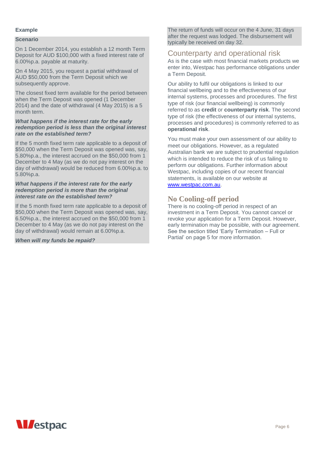#### **Example**

#### **Scenario**

On 1 December 2014, you establish a 12 month Term Deposit for AUD \$100,000 with a fixed interest rate of 6.00%p.a. payable at maturity.

On 4 May 2015, you request a partial withdrawal of AUD \$50,000 from the Term Deposit which we subsequently approve.

The closest fixed term available for the period between when the Term Deposit was opened (1 December 2014) and the date of withdrawal (4 May 2015) is a 5 month term.

#### *What happens if the interest rate for the early redemption period is less than the original interest rate on the established term?*

If the 5 month fixed term rate applicable to a deposit of \$50,000 when the Term Deposit was opened was, say, 5.80%p.a., the interest accrued on the \$50,000 from 1 December to 4 May (as we do not pay interest on the day of withdrawal) would be reduced from 6.00%p.a. to 5.80%p.a.

#### *What happens if the interest rate for the early redemption period is more than the original interest rate on the established term?*

If the 5 month fixed term rate applicable to a deposit of \$50,000 when the Term Deposit was opened was, say, 6.50%p.a., the interest accrued on the \$50,000 from 1 December to 4 May (as we do not pay interest on the day of withdrawal) would remain at 6.00%p.a.

<span id="page-5-0"></span>*When will my funds be repaid?*

The return of funds will occur on the 4 June, 31 days after the request was lodged. The disbursement will typically be received on day 32.

#### Counterparty and operational risk

As is the case with most financial markets products we enter into, Westpac has performance obligations under a Term Deposit.

Our ability to fulfil our obligations is linked to our financial wellbeing and to the effectiveness of our internal systems, processes and procedures. The first type of risk (our financial wellbeing) is commonly referred to as **credit** or **counterparty risk**. The second type of risk (the effectiveness of our internal systems, processes and procedures) is commonly referred to as **operational risk**.

You must make your own assessment of our ability to meet our obligations. However, as a regulated Australian bank we are subject to prudential regulation which is intended to reduce the risk of us failing to perform our obligations. Further information about Westpac, including copies of our recent financial statements, is available on our website at [www.westpac.com.au.](http://www.westpac.com.au/)

### **No Cooling-off period**

There is no cooling-off period in respect of an investment in a Term Deposit. You cannot cancel or revoke your application for a Term Deposit. However, early termination may be possible, with our agreement. See the section titled 'Early Termination – Full or Partial' on page 5 for more information.

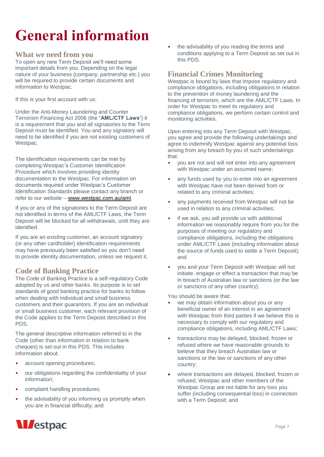## **General information**

### **What we need from you**

To open any new Term Deposit we'll need some important details from you. Depending on the legal nature of your business (company, partnership etc.) you will be required to provide certain documents and information to Westpac.

If this is your first account with us:

Under the Anti-Money Laundering and Counter Terrorism Financing Act 2006 (the **'AML/CTF Laws'**) it is a requirement that you and all signatories to the Term Deposit must be identified. You and any signatory will need to be identified if you are not existing customers of Westpac.

The identification requirements can be met by completing Westpac's Customer Identification Procedure which involves providing identity documentation to the Westpac. For information on documents required under Westpac's Customer Identification Standards please contact any branch or refer to our website – [www.westpac.com.au/aml.](http://www.westpac.com.au/aml)

If you or any of the signatories to the Term Deposit are not identified in terms of the AML/CTF Laws, the Term Deposit will be blocked for all withdrawals, until they are identified.

If you are an existing customer, an account signatory (or any other cardholder) identification requirements may have previously been satisfied so you don't need to provide identity documentation, unless we request it.

## **Code of Banking Practice**

The Code of Banking Practice is a self-regulatory Code adopted by us and other banks. Its purpose is to set standards of good banking practice for banks to follow when dealing with individual and small business customers and their guarantors. If you are an individual or small business customer, each relevant provision of the Code applies to the Term Deposit described in this PDS.

The general descriptive information referred to in the Code (other than information in relation to bank cheques) is set out in this PDS. This includes information about:

- account opening procedures;
- our obligations regarding the confidentiality of your information;
- complaint handling procedures;
- the advisability of you informing us promptly when you are in financial difficulty; and

the advisability of you reading the terms and conditions applying to a Term Deposit as set out in this PDS.

## **Financial Crimes Monitoring**

Westpac is bound by laws that impose regulatory and compliance obligations, including obligations in relation to the prevention of money laundering and the financing of terrorism, which are the AML/CTF Laws. In order for Westpac to meet its regulatory and compliance obligations, we perform certain control and monitoring activities.

Upon entering into any Term Deposit with Westpac, you agree and provide the following undertakings and agree to indemnify Westpac against any potential loss arising from any breach by you of such undertakings that:

- you are not and will not enter into any agreement with Westpac under an assumed name;
- any funds used by you to enter into an agreement with Westpac have not been derived from or related to any criminal activities;
- any payments received from Westpac will not be used in relation to any criminal activities;
- if we ask, you will provide us with additional information we reasonably require from you for the purposes of meeting our regulatory and compliance obligations, including the obligations under AML/CTF Laws (including information about the source of funds used to settle a Term Deposit); and
- you and your Term Deposit with Westpac will not initiate, engage or effect a transaction that may be in breach of Australian law or sanctions (or the law or sanctions of any other country).

You should be aware that:

- we may obtain information about you or any beneficial owner of an interest in an agreement with Westpac from third parties if we believe this is necessary to comply with our regulatory and compliance obligations, including AML/CTF Laws;
- transactions may be delayed, blocked, frozen or refused where we have reasonable grounds to believe that they breach Australian law or sanctions or the law or sanctions of any other country;
- where transactions are delayed, blocked, frozen or refused, Westpac and other members of the Westpac Group are not liable for any loss you suffer (including consequential loss) in connection with a Term Deposit; and

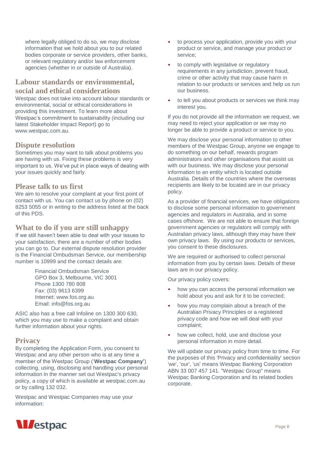where legally obliged to do so, we may disclose information that we hold about you to our related bodies corporate or service providers, other banks, or relevant regulatory and/or law enforcement agencies (whether in or outside of Australia).

## **Labour standards or environmental, social and ethical considerations**

Westpac does not take into account labour standards or environmental, social or ethical considerations in providing this investment. To learn more about Westpac's commitment to sustainability (including our latest Stakeholder Impact Report) go to www.westpac.com.au.

### **Dispute resolution**

Sometimes you may want to talk about problems you are having with us. Fixing these problems is very important to us. We've put in place ways of dealing with your issues quickly and fairly.

#### **Please talk to us first**

We aim to resolve your complaint at your first point of contact with us. You can contact us by phone on (02) 8253 5055 or in writing to the address listed at the back of this PDS.

#### **What to do if you are still unhappy**

If we still haven't been able to deal with your issues to your satisfaction, there are a number of other bodies you can go to. Our external dispute resolution provider is the Financial Ombudsman Service, our membership number is 10999 and the contact details are:

> Financial Ombudsman Service GPO Box 3, Melbourne, VIC 3001 Phone 1300 780 808 Fax: (03) 9613 6399 Internet: www.fos.org.au Email: info@fos.org.au

ASIC also has a free call Infoline on 1300 300 630, which you may use to make a complaint and obtain further information about your rights.

### **Privacy**

By completing the Application Form, you consent to Westpac and any other person who is at any time a member of the Westpac Group ('**Westpac Company'**) collecting, using, disclosing and handling your personal information in the manner set out Westpac's privacy policy, a copy of which is available at [westpac.com.au](http://westpac.com.au/) or by calling 132 032.

Westpac and Westpac Companies may use your information:

- to process your application, provide you with your product or service, and manage your product or service;
- to comply with legislative or regulatory requirements in any jurisdiction, prevent fraud, crime or other activity that may cause harm in relation to our products or services and help us run our business.
- to tell you about products or services we think may interest you.

If you do not provide all the information we request, we may need to reject your application or we may no longer be able to provide a product or service to you.

We may disclose your personal information to other members of the Westpac Group, anyone we engage to do something on our behalf, rewards program administrators and other organisations that assist us with our business. We may disclose your personal information to an entity which is located outside Australia. Details of the countries where the overseas recipients are likely to be located are in our privacy policy.

As a provider of financial services, we have obligations to disclose some personal information to government agencies and regulators in Australia, and in some cases offshore. We are not able to ensure that foreign government agencies or regulators will comply with Australian privacy laws, although they may have their own privacy laws. By using our products or services, you consent to these disclosures.

We are required or authorised to collect personal information from you by certain laws. Details of these laws are in our privacy policy.

Our privacy policy covers:

- how you can access the personal information we hold about you and ask for it to be corrected;
- how you may complain about a breach of the Australian Privacy Principles or a registered privacy code and how we will deal with your complaint;
- how we collect, hold, use and disclose your personal information in more detail.

We will update our privacy policy from time to time. For the purposes of this 'Privacy and confidentiality' section 'we', 'our', 'us' means Westpac Banking Corporation ABN 33 007 457 141. "Westpac Group" means Westpac Banking Corporation and its related bodies corporate.

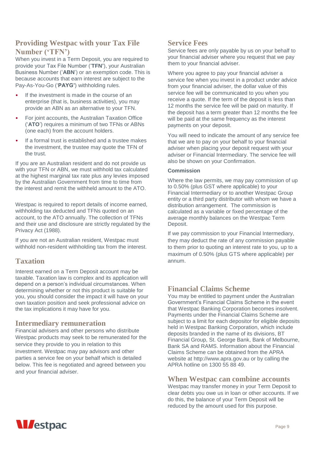## **Providing Westpac with your Tax File Number ('TFN')**

When you invest in a Term Deposit, you are required to provide your Tax File Number ('**TFN'**), your Australian Business Number ('**ABN**') or an exemption code. This is because accounts that earn interest are subject to the Pay-As-You-Go ('**PAYG'**) withholding rules.

- If the investment is made in the course of an enterprise (that is, business activities), you may provide an ABN as an alternative to your TFN.
- For joint accounts, the Australian Taxation Office ('**ATO**') requires a minimum of two TFNs or ABNs (one each) from the account holders.
- If a formal trust is established and a trustee makes the investment, the trustee may quote the TFN of the trust.

If you are an Australian resident and do not provide us with your TFN or ABN, we must withhold tax calculated at the highest marginal tax rate plus any levies imposed by the Australian Government from time to time from the interest and remit the withheld amount to the ATO.

Westpac is required to report details of income earned, withholding tax deducted and TFNs quoted on an account, to the ATO annually. The collection of TFNs and their use and disclosure are strictly regulated by the Privacy Act (1988).

If you are not an Australian resident, Westpac must withhold non-resident withholding tax from the interest.

## **Taxation**

Interest earned on a Term Deposit account may be taxable. Taxation law is complex and its application will depend on a person's individual circumstances. When determining whether or not this product is suitable for you, you should consider the impact it will have on your own taxation position and seek professional advice on the tax implications it may have for you.

## **Intermediary remuneration**

Financial advisers and other persons who distribute Westpac products may seek to be remunerated for the service they provide to you in relation to this investment. Westpac may pay advisors and other parties a service fee on your behalf which is detailed below. This fee is negotiated and agreed between you and your financial adviser.

## **Service Fees**

Service fees are only payable by us on your behalf to your financial adviser where you request that we pay them to your financial adviser.

Where you agree to pay your financial adviser a service fee when you invest in a product under advice from your financial adviser, the dollar value of this service fee will be communicated to you when you receive a quote. If the term of the deposit is less than 12 months the service fee will be paid on maturity. If the deposit has a term greater than 12 months the fee will be paid at the same frequency as the interest payments on your deposit.

You will need to indicate the amount of any service fee that we are to pay on your behalf to your financial adviser when placing your deposit request with your adviser or Financial Intermediary. The service fee will also be shown on your Confirmation.

#### **Commission**

Where the law permits, we may pay commission of up to 0.50% (plus GST where applicable) to your Financial Intermediary or to another Westpac Group entity or a third party distributor with whom we have a distribution arrangement. The commission is calculated as a variable or fixed percentage of the average monthly balances on the Westpac Term Deposit.

If we pay commission to your Financial Intermediary, they may deduct the rate of any commission payable to them prior to quoting an interest rate to you, up to a maximum of 0.50% (plus GTS where applicable) per annum.

## **Financial Claims Scheme**

You may be entitled to payment under the Australian Government's Financial Claims Scheme in the event that Westpac Banking Corporation becomes insolvent. Payments under the Financial Claims Scheme are subject to a limit for each depositor for eligible deposits held in Westpac Banking Corporation, which include deposits branded in the name of its divisions, BT Financial Group, St. George Bank, Bank of Melbourne, Bank SA and RAMS. Information about the Financial Claims Scheme can be obtained from the APRA website at [http://www.apra.gov.au](http://www.apra.gov.au/) or by calling the APRA hotline on 1300 55 88 49.

### **When Westpac can combine accounts**

Westpac may transfer money in your Term Deposit to clear debts you owe us in loan or other accounts. If we do this, the balance of your Term Deposit will be reduced by the amount used for this purpose.

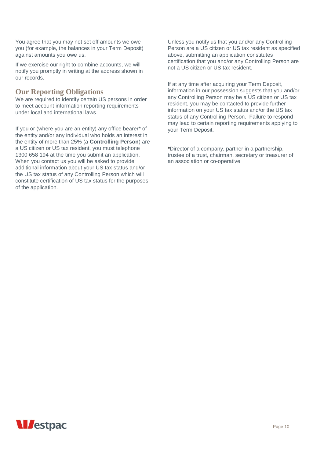You agree that you may not set off amounts we owe you (for example, the balances in your Term Deposit) against amounts you owe us.

If we exercise our right to combine accounts, we will notify you promptly in writing at the address shown in our records.

### **Our Reporting Obligations**

We are required to identify certain US persons in order to meet account information reporting requirements under local and international laws.

If you or (where you are an entity) any office bearer\* of the entity and/or any individual who holds an interest in the entity of more than 25% (a **Controlling Person**) are a US citizen or US tax resident, you must telephone 1300 658 194 at the time you submit an application. When you contact us you will be asked to provide additional information about your US tax status and/or the US tax status of any Controlling Person which will constitute certification of US tax status for the purposes of the application.

Unless you notify us that you and/or any Controlling Person are a US citizen or US tax resident as specified above, submitting an application constitutes certification that you and/or any Controlling Person are not a US citizen or US tax resident.

If at any time after acquiring your Term Deposit, information in our possession suggests that you and/or any Controlling Person may be a US citizen or US tax resident, you may be contacted to provide further information on your US tax status and/or the US tax status of any Controlling Person. Failure to respond may lead to certain reporting requirements applying to your Term Deposit.

\*Director of a company, partner in a partnership, trustee of a trust, chairman, secretary or treasurer of an association or co-operative

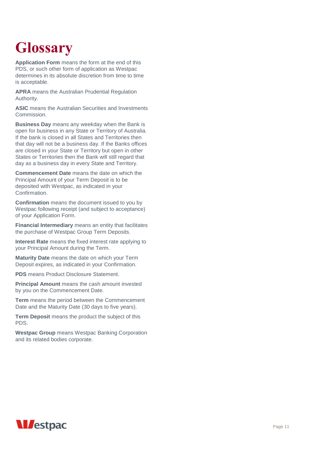## <span id="page-10-0"></span>**Glossary**

**Application Form** means the form at the end of this PDS, or such other form of application as Westpac determines in its absolute discretion from time to time is acceptable.

**APRA** means the Australian Prudential Regulation Authority.

**ASIC** means the Australian Securities and Investments Commission.

**Business Day** means any weekday when the Bank is open for business in any State or Territory of Australia. If the bank is closed in all States and Territories then that day will not be a business day. If the Banks offices are closed in your State or Territory but open in other States or Territories then the Bank will still regard that day as a business day in every State and Territory.

**Commencement Date** means the date on which the Principal Amount of your Term Deposit is to be deposited with Westpac, as indicated in your Confirmation.

**Confirmation** means the document issued to you by Westpac following receipt (and subject to acceptance) of your Application Form.

**Financial Intermediary** means an entity that facilitates the purchase of Westpac Group Term Deposits.

**Interest Rate** means the fixed interest rate applying to your Principal Amount during the Term.

**Maturity Date** means the date on which your Term Deposit expires, as indicated in your Confirmation.

**PDS** means Product Disclosure Statement.

**Principal Amount** means the cash amount invested by you on the Commencement Date.

**Term** means the period between the Commencement Date and the Maturity Date (30 days to five years).

**Term Deposit** means the product the subject of this PDS.

**Westpac Group** means Westpac Banking Corporation and its related bodies corporate.